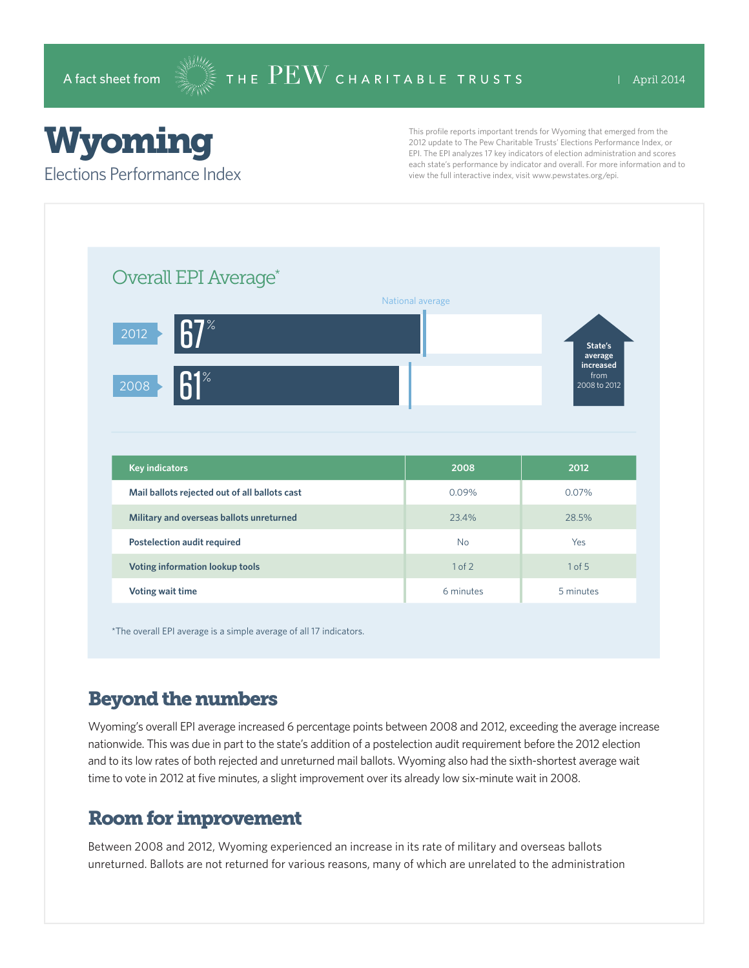# Wyoming

#### Elections Performance Index

This profile reports important trends for Wyoming that emerged from the 2012 update to The Pew Charitable Trusts' Elections Performance Index, or EPI. The EPI analyzes 17 key indicators of election administration and scores each state's performance by indicator and overall. For more information and to view the full interactive index, visit www.pewstates.org/epi.

| Overall EPI Average*                          |                  |                                     |
|-----------------------------------------------|------------------|-------------------------------------|
|                                               | National average |                                     |
| $\mathsf{R}7^\ast$<br>2012                    |                  | State's<br>average                  |
| 61<br>2008                                    |                  | increased<br>from<br>$2008$ to 2012 |
|                                               |                  |                                     |
|                                               |                  |                                     |
|                                               |                  |                                     |
| <b>Key indicators</b>                         | 2008             | 2012                                |
| Mail ballots rejected out of all ballots cast | 0.09%            | 0.07%                               |
| Military and overseas ballots unreturned      | 23.4%            | 28.5%                               |
| <b>Postelection audit required</b>            | <b>No</b>        | Yes                                 |
| Voting information lookup tools               | 1 of 2           | 1 of 5                              |

\*The overall EPI average is a simple average of all 17 indicators.

## Beyond the numbers

Wyoming's overall EPI average increased 6 percentage points between 2008 and 2012, exceeding the average increase nationwide. This was due in part to the state's addition of a postelection audit requirement before the 2012 election and to its low rates of both rejected and unreturned mail ballots. Wyoming also had the sixth-shortest average wait time to vote in 2012 at five minutes, a slight improvement over its already low six-minute wait in 2008.

### Room for improvement

Between 2008 and 2012, Wyoming experienced an increase in its rate of military and overseas ballots unreturned. Ballots are not returned for various reasons, many of which are unrelated to the administration